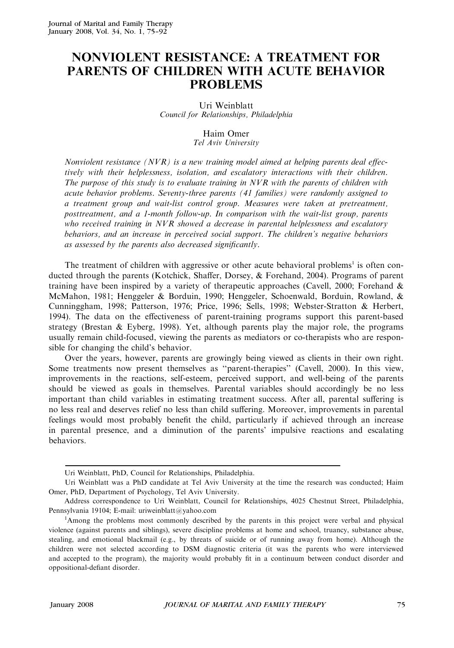# NONVIOLENT RESISTANCE: A TREATMENT FOR PARENTS OF CHILDREN WITH ACUTE BEHAVIOR **PROBLEMS**

Uri Weinblatt Council for Relationships, Philadelphia

# Haim Omer

Tel Aviv University

Nonviolent resistance  $(NVR)$  is a new training model aimed at helping parents deal effectively with their helplessness, isolation, and escalatory interactions with their children. The purpose of this study is to evaluate training in NVR with the parents of children with acute behavior problems. Seventy-three parents (41 families) were randomly assigned to a treatment group and wait-list control group. Measures were taken at pretreatment, posttreatment, and a 1-month follow-up. In comparison with the wait-list group, parents who received training in NVR showed a decrease in parental helplessness and escalatory behaviors, and an increase in perceived social support. The children's negative behaviors as assessed by the parents also decreased significantly.

The treatment of children with aggressive or other acute behavioral problems<sup>1</sup> is often conducted through the parents (Kotchick, Shaffer, Dorsey, & Forehand, 2004). Programs of parent training have been inspired by a variety of therapeutic approaches (Cavell, 2000; Forehand & McMahon, 1981; Henggeler & Borduin, 1990; Henggeler, Schoenwald, Borduin, Rowland, & Cunninggham, 1998; Patterson, 1976; Price, 1996; Sells, 1998; Webster-Stratton & Herbert, 1994). The data on the effectiveness of parent-training programs support this parent-based strategy (Brestan & Eyberg, 1998). Yet, although parents play the major role, the programs usually remain child-focused, viewing the parents as mediators or co-therapists who are responsible for changing the child's behavior.

Over the years, however, parents are growingly being viewed as clients in their own right. Some treatments now present themselves as ''parent-therapies'' (Cavell, 2000). In this view, improvements in the reactions, self-esteem, perceived support, and well-being of the parents should be viewed as goals in themselves. Parental variables should accordingly be no less important than child variables in estimating treatment success. After all, parental suffering is no less real and deserves relief no less than child suffering. Moreover, improvements in parental feelings would most probably benefit the child, particularly if achieved through an increase in parental presence, and a diminution of the parents' impulsive reactions and escalating behaviors.

Uri Weinblatt, PhD, Council for Relationships, Philadelphia.

Uri Weinblatt was a PhD candidate at Tel Aviv University at the time the research was conducted; Haim Omer, PhD, Department of Psychology, Tel Aviv University.

Address correspondence to Uri Weinblatt, Council for Relationships, 4025 Chestnut Street, Philadelphia, Pennsylvania 19104; E-mail: uriweinblatt@yahoo.com

<sup>&</sup>lt;sup>1</sup>Among the problems most commonly described by the parents in this project were verbal and physical violence (against parents and siblings), severe discipline problems at home and school, truancy, substance abuse, stealing, and emotional blackmail (e.g., by threats of suicide or of running away from home). Although the children were not selected according to DSM diagnostic criteria (it was the parents who were interviewed and accepted to the program), the majority would probably fit in a continuum between conduct disorder and oppositional-defiant disorder.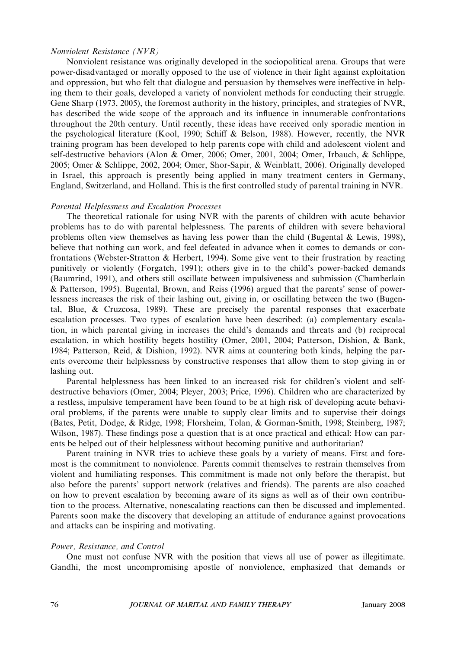#### Nonviolent Resistance (NVR)

Nonviolent resistance was originally developed in the sociopolitical arena. Groups that were power-disadvantaged or morally opposed to the use of violence in their fight against exploitation and oppression, but who felt that dialogue and persuasion by themselves were ineffective in helping them to their goals, developed a variety of nonviolent methods for conducting their struggle. Gene Sharp (1973, 2005), the foremost authority in the history, principles, and strategies of NVR, has described the wide scope of the approach and its influence in innumerable confrontations throughout the 20th century. Until recently, these ideas have received only sporadic mention in the psychological literature (Kool, 1990; Schiff & Belson, 1988). However, recently, the NVR training program has been developed to help parents cope with child and adolescent violent and self-destructive behaviors (Alon & Omer, 2006; Omer, 2001, 2004; Omer, Irbauch, & Schlippe, 2005; Omer & Schlippe, 2002, 2004; Omer, Shor-Sapir, & Weinblatt, 2006). Originally developed in Israel, this approach is presently being applied in many treatment centers in Germany, England, Switzerland, and Holland. This is the first controlled study of parental training in NVR.

### Parental Helplessness and Escalation Processes

The theoretical rationale for using NVR with the parents of children with acute behavior problems has to do with parental helplessness. The parents of children with severe behavioral problems often view themselves as having less power than the child (Bugental  $\&$  Lewis, 1998), believe that nothing can work, and feel defeated in advance when it comes to demands or confrontations (Webster-Stratton & Herbert, 1994). Some give vent to their frustration by reacting punitively or violently (Forgatch, 1991); others give in to the child's power-backed demands (Baumrind, 1991), and others still oscillate between impulsiveness and submission (Chamberlain & Patterson, 1995). Bugental, Brown, and Reiss (1996) argued that the parents' sense of powerlessness increases the risk of their lashing out, giving in, or oscillating between the two (Bugental, Blue, & Cruzcosa, 1989). These are precisely the parental responses that exacerbate escalation processes. Two types of escalation have been described: (a) complementary escalation, in which parental giving in increases the child's demands and threats and (b) reciprocal escalation, in which hostility begets hostility (Omer, 2001, 2004; Patterson, Dishion, & Bank, 1984; Patterson, Reid, & Dishion, 1992). NVR aims at countering both kinds, helping the parents overcome their helplessness by constructive responses that allow them to stop giving in or lashing out.

Parental helplessness has been linked to an increased risk for children's violent and selfdestructive behaviors (Omer, 2004; Pleyer, 2003; Price, 1996). Children who are characterized by a restless, impulsive temperament have been found to be at high risk of developing acute behavioral problems, if the parents were unable to supply clear limits and to supervise their doings (Bates, Petit, Dodge, & Ridge, 1998; Florsheim, Tolan, & Gorman-Smith, 1998; Steinberg, 1987; Wilson, 1987). These findings pose a question that is at once practical and ethical: How can parents be helped out of their helplessness without becoming punitive and authoritarian?

Parent training in NVR tries to achieve these goals by a variety of means. First and foremost is the commitment to nonviolence. Parents commit themselves to restrain themselves from violent and humiliating responses. This commitment is made not only before the therapist, but also before the parents' support network (relatives and friends). The parents are also coached on how to prevent escalation by becoming aware of its signs as well as of their own contribution to the process. Alternative, nonescalating reactions can then be discussed and implemented. Parents soon make the discovery that developing an attitude of endurance against provocations and attacks can be inspiring and motivating.

## Power, Resistance, and Control

One must not confuse NVR with the position that views all use of power as illegitimate. Gandhi, the most uncompromising apostle of nonviolence, emphasized that demands or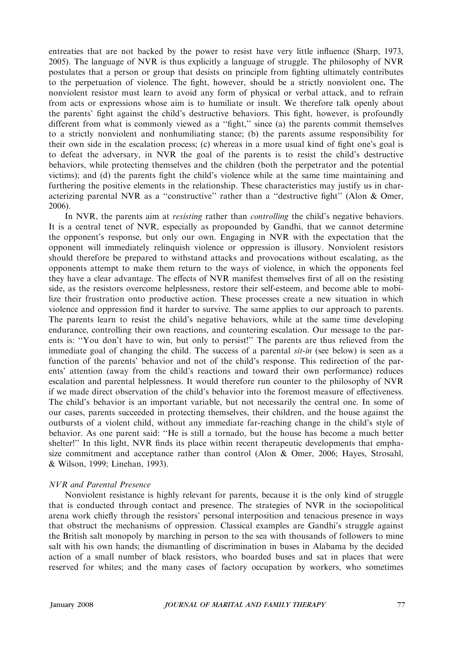entreaties that are not backed by the power to resist have very little influence (Sharp, 1973, 2005). The language of NVR is thus explicitly a language of struggle. The philosophy of NVR postulates that a person or group that desists on principle from fighting ultimately contributes to the perpetuation of violence. The fight, however, should be a strictly nonviolent one. The nonviolent resistor must learn to avoid any form of physical or verbal attack, and to refrain from acts or expressions whose aim is to humiliate or insult. We therefore talk openly about the parents' fight against the child's destructive behaviors. This fight, however, is profoundly different from what is commonly viewed as a ''fight,'' since (a) the parents commit themselves to a strictly nonviolent and nonhumiliating stance; (b) the parents assume responsibility for their own side in the escalation process; (c) whereas in a more usual kind of fight one's goal is to defeat the adversary, in NVR the goal of the parents is to resist the child's destructive behaviors, while protecting themselves and the children (both the perpetrator and the potential victims); and (d) the parents fight the child's violence while at the same time maintaining and furthering the positive elements in the relationship. These characteristics may justify us in characterizing parental NVR as a "constructive" rather than a "destructive fight" (Alon & Omer, 2006).

In NVR, the parents aim at *resisting* rather than *controlling* the child's negative behaviors. It is a central tenet of NVR, especially as propounded by Gandhi, that we cannot determine the opponent's response, but only our own. Engaging in NVR with the expectation that the opponent will immediately relinquish violence or oppression is illusory. Nonviolent resistors should therefore be prepared to withstand attacks and provocations without escalating, as the opponents attempt to make them return to the ways of violence, in which the opponents feel they have a clear advantage. The effects of NVR manifest themselves first of all on the resisting side, as the resistors overcome helplessness, restore their self-esteem, and become able to mobilize their frustration onto productive action. These processes create a new situation in which violence and oppression find it harder to survive. The same applies to our approach to parents. The parents learn to resist the child's negative behaviors, while at the same time developing endurance, controlling their own reactions, and countering escalation. Our message to the parents is: ''You don't have to win, but only to persist!'' The parents are thus relieved from the immediate goal of changing the child. The success of a parental *sit-in* (see below) is seen as a function of the parents' behavior and not of the child's response. This redirection of the parents' attention (away from the child's reactions and toward their own performance) reduces escalation and parental helplessness. It would therefore run counter to the philosophy of NVR if we made direct observation of the child's behavior into the foremost measure of effectiveness. The child's behavior is an important variable, but not necessarily the central one. In some of our cases, parents succeeded in protecting themselves, their children, and the house against the outbursts of a violent child, without any immediate far-reaching change in the child's style of behavior. As one parent said: ''He is still a tornado, but the house has become a much better shelter!'' In this light, NVR finds its place within recent therapeutic developments that emphasize commitment and acceptance rather than control (Alon & Omer, 2006; Hayes, Strosahl, & Wilson, 1999; Linehan, 1993).

## NVR and Parental Presence

Nonviolent resistance is highly relevant for parents, because it is the only kind of struggle that is conducted through contact and presence. The strategies of NVR in the sociopolitical arena work chiefly through the resistors' personal interposition and tenacious presence in ways that obstruct the mechanisms of oppression. Classical examples are Gandhi's struggle against the British salt monopoly by marching in person to the sea with thousands of followers to mine salt with his own hands; the dismantling of discrimination in buses in Alabama by the decided action of a small number of black resistors, who boarded buses and sat in places that were reserved for whites; and the many cases of factory occupation by workers, who sometimes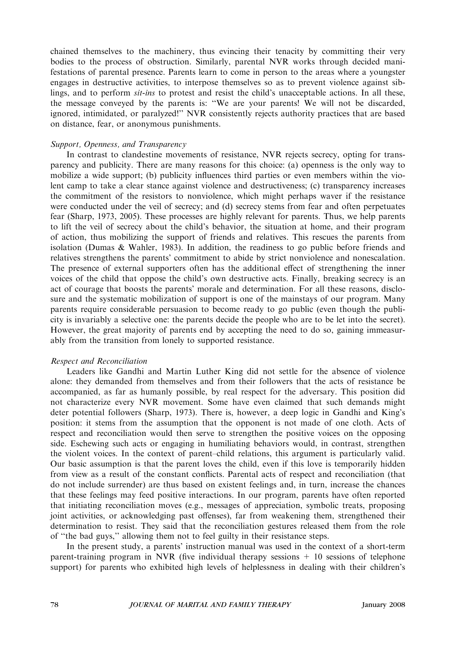chained themselves to the machinery, thus evincing their tenacity by committing their very bodies to the process of obstruction. Similarly, parental NVR works through decided manifestations of parental presence. Parents learn to come in person to the areas where a youngster engages in destructive activities, to interpose themselves so as to prevent violence against siblings, and to perform sit-ins to protest and resist the child's unacceptable actions. In all these, the message conveyed by the parents is: ''We are your parents! We will not be discarded, ignored, intimidated, or paralyzed!'' NVR consistently rejects authority practices that are based on distance, fear, or anonymous punishments.

## Support, Openness, and Transparency

In contrast to clandestine movements of resistance, NVR rejects secrecy, opting for transparency and publicity. There are many reasons for this choice: (a) openness is the only way to mobilize a wide support; (b) publicity influences third parties or even members within the violent camp to take a clear stance against violence and destructiveness; (c) transparency increases the commitment of the resistors to nonviolence, which might perhaps waver if the resistance were conducted under the veil of secrecy; and (d) secrecy stems from fear and often perpetuates fear (Sharp, 1973, 2005). These processes are highly relevant for parents. Thus, we help parents to lift the veil of secrecy about the child's behavior, the situation at home, and their program of action, thus mobilizing the support of friends and relatives. This rescues the parents from isolation (Dumas & Wahler, 1983). In addition, the readiness to go public before friends and relatives strengthens the parents' commitment to abide by strict nonviolence and nonescalation. The presence of external supporters often has the additional effect of strengthening the inner voices of the child that oppose the child's own destructive acts. Finally, breaking secrecy is an act of courage that boosts the parents' morale and determination. For all these reasons, disclosure and the systematic mobilization of support is one of the mainstays of our program. Many parents require considerable persuasion to become ready to go public (even though the publicity is invariably a selective one: the parents decide the people who are to be let into the secret). However, the great majority of parents end by accepting the need to do so, gaining immeasurably from the transition from lonely to supported resistance.

#### Respect and Reconciliation

Leaders like Gandhi and Martin Luther King did not settle for the absence of violence alone: they demanded from themselves and from their followers that the acts of resistance be accompanied, as far as humanly possible, by real respect for the adversary. This position did not characterize every NVR movement. Some have even claimed that such demands might deter potential followers (Sharp, 1973). There is, however, a deep logic in Gandhi and King's position: it stems from the assumption that the opponent is not made of one cloth. Acts of respect and reconciliation would then serve to strengthen the positive voices on the opposing side. Eschewing such acts or engaging in humiliating behaviors would, in contrast, strengthen the violent voices. In the context of parent–child relations, this argument is particularly valid. Our basic assumption is that the parent loves the child, even if this love is temporarily hidden from view as a result of the constant conflicts. Parental acts of respect and reconciliation (that do not include surrender) are thus based on existent feelings and, in turn, increase the chances that these feelings may feed positive interactions. In our program, parents have often reported that initiating reconciliation moves (e.g., messages of appreciation, symbolic treats, proposing joint activities, or acknowledging past offenses), far from weakening them, strengthened their determination to resist. They said that the reconciliation gestures released them from the role of ''the bad guys,'' allowing them not to feel guilty in their resistance steps.

In the present study, a parents' instruction manual was used in the context of a short-term parent-training program in NVR (five individual therapy sessions  $+10$  sessions of telephone support) for parents who exhibited high levels of helplessness in dealing with their children's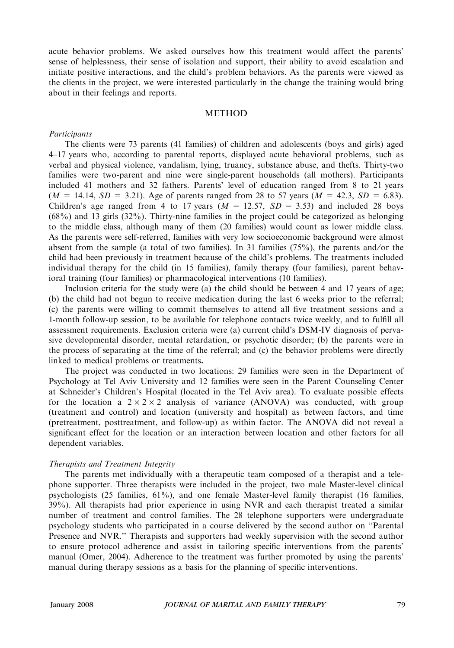acute behavior problems. We asked ourselves how this treatment would affect the parents' sense of helplessness, their sense of isolation and support, their ability to avoid escalation and initiate positive interactions, and the child's problem behaviors. As the parents were viewed as the clients in the project, we were interested particularly in the change the training would bring about in their feelings and reports.

## **METHOD**

#### Participants

The clients were 73 parents (41 families) of children and adolescents (boys and girls) aged 4–17 years who, according to parental reports, displayed acute behavioral problems, such as verbal and physical violence, vandalism, lying, truancy, substance abuse, and thefts. Thirty-two families were two-parent and nine were single-parent households (all mothers). Participants included 41 mothers and 32 fathers. Parents' level of education ranged from 8 to 21 years  $(M = 14.14, SD = 3.21)$ . Age of parents ranged from 28 to 57 years  $(M = 42.3, SD = 6.83)$ . Children's age ranged from 4 to 17 years ( $M = 12.57$ ,  $SD = 3.53$ ) and included 28 boys (68%) and 13 girls (32%). Thirty-nine families in the project could be categorized as belonging to the middle class, although many of them (20 families) would count as lower middle class. As the parents were self-referred, families with very low socioeconomic background were almost absent from the sample (a total of two families). In 31 families  $(75\%)$ , the parents and/or the child had been previously in treatment because of the child's problems. The treatments included individual therapy for the child (in 15 families), family therapy (four families), parent behavioral training (four families) or pharmacological interventions (10 families).

Inclusion criteria for the study were (a) the child should be between 4 and 17 years of age; (b) the child had not begun to receive medication during the last 6 weeks prior to the referral; (c) the parents were willing to commit themselves to attend all five treatment sessions and a 1-month follow-up session, to be available for telephone contacts twice weekly, and to fulfill all assessment requirements. Exclusion criteria were (a) current child's DSM-IV diagnosis of pervasive developmental disorder, mental retardation, or psychotic disorder; (b) the parents were in the process of separating at the time of the referral; and (c) the behavior problems were directly linked to medical problems or treatments.

The project was conducted in two locations: 29 families were seen in the Department of Psychology at Tel Aviv University and 12 families were seen in the Parent Counseling Center at Schneider's Children's Hospital (located in the Tel Aviv area). To evaluate possible effects for the location a  $2 \times 2 \times 2$  analysis of variance (ANOVA) was conducted, with group (treatment and control) and location (university and hospital) as between factors, and time (pretreatment, posttreatment, and follow-up) as within factor. The ANOVA did not reveal a significant effect for the location or an interaction between location and other factors for all dependent variables.

#### Therapists and Treatment Integrity

The parents met individually with a therapeutic team composed of a therapist and a telephone supporter. Three therapists were included in the project, two male Master-level clinical psychologists (25 families, 61%), and one female Master-level family therapist (16 families, 39%). All therapists had prior experience in using NVR and each therapist treated a similar number of treatment and control families. The 28 telephone supporters were undergraduate psychology students who participated in a course delivered by the second author on ''Parental Presence and NVR.'' Therapists and supporters had weekly supervision with the second author to ensure protocol adherence and assist in tailoring specific interventions from the parents' manual (Omer, 2004). Adherence to the treatment was further promoted by using the parents' manual during therapy sessions as a basis for the planning of specific interventions.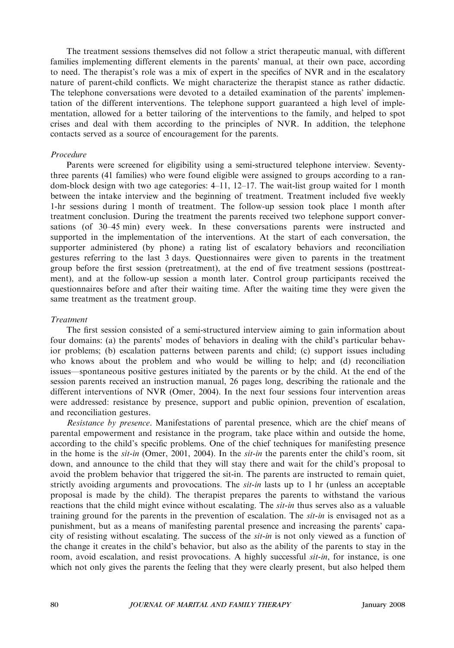The treatment sessions themselves did not follow a strict therapeutic manual, with different families implementing different elements in the parents' manual, at their own pace, according to need. The therapist's role was a mix of expert in the specifics of NVR and in the escalatory nature of parent-child conflicts. We might characterize the therapist stance as rather didactic. The telephone conversations were devoted to a detailed examination of the parents' implementation of the different interventions. The telephone support guaranteed a high level of implementation, allowed for a better tailoring of the interventions to the family, and helped to spot crises and deal with them according to the principles of NVR. In addition, the telephone contacts served as a source of encouragement for the parents.

#### Procedure

Parents were screened for eligibility using a semi-structured telephone interview. Seventythree parents (41 families) who were found eligible were assigned to groups according to a random-block design with two age categories: 4–11, 12–17. The wait-list group waited for 1 month between the intake interview and the beginning of treatment. Treatment included five weekly 1-hr sessions during 1 month of treatment. The follow-up session took place 1 month after treatment conclusion. During the treatment the parents received two telephone support conversations (of 30–45 min) every week. In these conversations parents were instructed and supported in the implementation of the interventions. At the start of each conversation, the supporter administered (by phone) a rating list of escalatory behaviors and reconciliation gestures referring to the last 3 days. Questionnaires were given to parents in the treatment group before the first session (pretreatment), at the end of five treatment sessions (posttreatment), and at the follow-up session a month later. Control group participants received the questionnaires before and after their waiting time. After the waiting time they were given the same treatment as the treatment group.

### Treatment

The first session consisted of a semi-structured interview aiming to gain information about four domains: (a) the parents' modes of behaviors in dealing with the child's particular behavior problems; (b) escalation patterns between parents and child; (c) support issues including who knows about the problem and who would be willing to help; and (d) reconciliation issues—spontaneous positive gestures initiated by the parents or by the child. At the end of the session parents received an instruction manual, 26 pages long, describing the rationale and the different interventions of NVR (Omer, 2004). In the next four sessions four intervention areas were addressed: resistance by presence, support and public opinion, prevention of escalation, and reconciliation gestures.

Resistance by presence. Manifestations of parental presence, which are the chief means of parental empowerment and resistance in the program, take place within and outside the home, according to the child's specific problems. One of the chief techniques for manifesting presence in the home is the *sit-in* (Omer, 2001, 2004). In the *sit-in* the parents enter the child's room, sit down, and announce to the child that they will stay there and wait for the child's proposal to avoid the problem behavior that triggered the sit-in. The parents are instructed to remain quiet, strictly avoiding arguments and provocations. The  $sit$ -in lasts up to 1 hr (unless an acceptable proposal is made by the child). The therapist prepares the parents to withstand the various reactions that the child might evince without escalating. The *sit-in* thus serves also as a valuable training ground for the parents in the prevention of escalation. The sit-in is envisaged not as a punishment, but as a means of manifesting parental presence and increasing the parents' capacity of resisting without escalating. The success of the sit-in is not only viewed as a function of the change it creates in the child's behavior, but also as the ability of the parents to stay in the room, avoid escalation, and resist provocations. A highly successful *sit-in*, for instance, is one which not only gives the parents the feeling that they were clearly present, but also helped them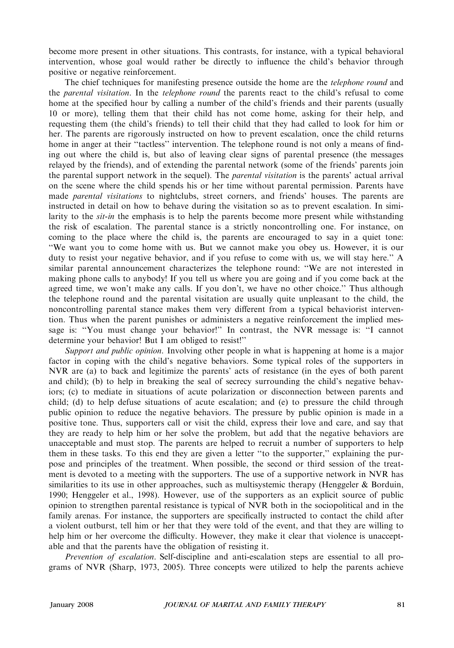become more present in other situations. This contrasts, for instance, with a typical behavioral intervention, whose goal would rather be directly to influence the child's behavior through positive or negative reinforcement.

The chief techniques for manifesting presence outside the home are the *telephone round* and the parental visitation. In the telephone round the parents react to the child's refusal to come home at the specified hour by calling a number of the child's friends and their parents (usually 10 or more), telling them that their child has not come home, asking for their help, and requesting them (the child's friends) to tell their child that they had called to look for him or her. The parents are rigorously instructed on how to prevent escalation, once the child returns home in anger at their "tactless" intervention. The telephone round is not only a means of finding out where the child is, but also of leaving clear signs of parental presence (the messages relayed by the friends), and of extending the parental network (some of the friends' parents join the parental support network in the sequel). The *parental visitation* is the parents' actual arrival on the scene where the child spends his or her time without parental permission. Parents have made *parental visitations* to nightclubs, street corners, and friends' houses. The parents are instructed in detail on how to behave during the visitation so as to prevent escalation. In similarity to the *sit-in* the emphasis is to help the parents become more present while withstanding the risk of escalation. The parental stance is a strictly noncontrolling one. For instance, on coming to the place where the child is, the parents are encouraged to say in a quiet tone: ''We want you to come home with us. But we cannot make you obey us. However, it is our duty to resist your negative behavior, and if you refuse to come with us, we will stay here.'' A similar parental announcement characterizes the telephone round: ''We are not interested in making phone calls to anybody! If you tell us where you are going and if you come back at the agreed time, we won't make any calls. If you don't, we have no other choice.'' Thus although the telephone round and the parental visitation are usually quite unpleasant to the child, the noncontrolling parental stance makes them very different from a typical behaviorist intervention. Thus when the parent punishes or administers a negative reinforcement the implied message is: ''You must change your behavior!'' In contrast, the NVR message is: ''I cannot determine your behavior! But I am obliged to resist!''

Support and public opinion. Involving other people in what is happening at home is a major factor in coping with the child's negative behaviors. Some typical roles of the supporters in NVR are (a) to back and legitimize the parents' acts of resistance (in the eyes of both parent and child); (b) to help in breaking the seal of secrecy surrounding the child's negative behaviors; (c) to mediate in situations of acute polarization or disconnection between parents and child; (d) to help defuse situations of acute escalation; and (e) to pressure the child through public opinion to reduce the negative behaviors. The pressure by public opinion is made in a positive tone. Thus, supporters call or visit the child, express their love and care, and say that they are ready to help him or her solve the problem, but add that the negative behaviors are unacceptable and must stop. The parents are helped to recruit a number of supporters to help them in these tasks. To this end they are given a letter ''to the supporter,'' explaining the purpose and principles of the treatment. When possible, the second or third session of the treatment is devoted to a meeting with the supporters. The use of a supportive network in NVR has similarities to its use in other approaches, such as multisystemic therapy (Henggeler  $\&$  Borduin, 1990; Henggeler et al., 1998). However, use of the supporters as an explicit source of public opinion to strengthen parental resistance is typical of NVR both in the sociopolitical and in the family arenas. For instance, the supporters are specifically instructed to contact the child after a violent outburst, tell him or her that they were told of the event, and that they are willing to help him or her overcome the difficulty. However, they make it clear that violence is unacceptable and that the parents have the obligation of resisting it.

Prevention of escalation. Self-discipline and anti-escalation steps are essential to all programs of NVR (Sharp, 1973, 2005). Three concepts were utilized to help the parents achieve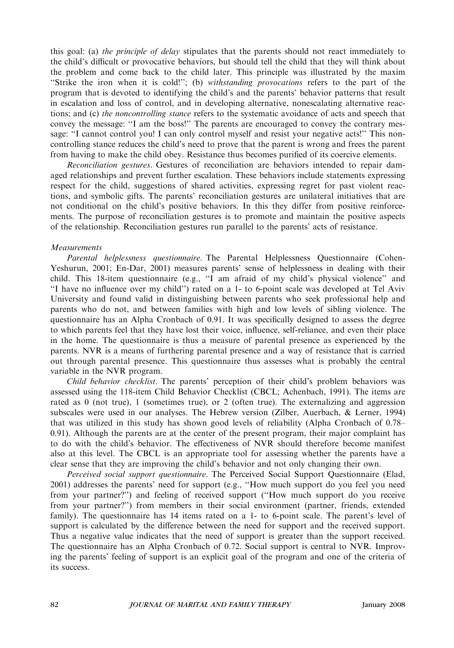this goal: (a) the principle of delay stipulates that the parents should not react immediately to the child's difficult or provocative behaviors, but should tell the child that they will think about the problem and come back to the child later. This principle was illustrated by the maxim ''Strike the iron when it is cold!''; (b) withstanding provocations refers to the part of the program that is devoted to identifying the child's and the parents' behavior patterns that result in escalation and loss of control, and in developing alternative, nonescalating alternative reactions; and (c) the noncontrolling stance refers to the systematic avoidance of acts and speech that convey the message: ''I am the boss!'' The parents are encouraged to convey the contrary message: "I cannot control you! I can only control myself and resist your negative acts!" This noncontrolling stance reduces the child's need to prove that the parent is wrong and frees the parent from having to make the child obey. Resistance thus becomes purified of its coercive elements.

Reconciliation gestures. Gestures of reconciliation are behaviors intended to repair damaged relationships and prevent further escalation. These behaviors include statements expressing respect for the child, suggestions of shared activities, expressing regret for past violent reactions, and symbolic gifts. The parents' reconciliation gestures are unilateral initiatives that are not conditional on the child's positive behaviors. In this they differ from positive reinforcements. The purpose of reconciliation gestures is to promote and maintain the positive aspects of the relationship. Reconciliation gestures run parallel to the parents' acts of resistance.

#### Measurements

Parental helplessness questionnaire. The Parental Helplessness Questionnaire (Cohen-Yeshurun, 2001; En-Dar, 2001) measures parents' sense of helplessness in dealing with their child. This 18-item questionnaire (e.g., ''I am afraid of my child's physical violence'' and ''I have no influence over my child'') rated on a 1- to 6-point scale was developed at Tel Aviv University and found valid in distinguishing between parents who seek professional help and parents who do not, and between families with high and low levels of sibling violence. The questionnaire has an Alpha Cronbach of 0.91. It was specifically designed to assess the degree to which parents feel that they have lost their voice, influence, self-reliance, and even their place in the home. The questionnaire is thus a measure of parental presence as experienced by the parents. NVR is a means of furthering parental presence and a way of resistance that is carried out through parental presence. This questionnaire thus assesses what is probably the central variable in the NVR program.

Child behavior checklist. The parents' perception of their child's problem behaviors was assessed using the 118-item Child Behavior Checklist (CBCL; Achenbach, 1991). The items are rated as 0 (not true), 1 (sometimes true), or 2 (often true). The externalizing and aggression subscales were used in our analyses. The Hebrew version (Zilber, Auerbach, & Lerner, 1994) that was utilized in this study has shown good levels of reliability (Alpha Cronbach of 0.78– 0.91). Although the parents are at the center of the present program, their major complaint has to do with the child's behavior. The effectiveness of NVR should therefore become manifest also at this level. The CBCL is an appropriate tool for assessing whether the parents have a clear sense that they are improving the child's behavior and not only changing their own.

Perceived social support questionnaire. The Perceived Social Support Questionnaire (Elad, 2001) addresses the parents' need for support (e.g., ''How much support do you feel you need from your partner?'') and feeling of received support (''How much support do you receive from your partner?'') from members in their social environment (partner, friends, extended family). The questionnaire has 14 items rated on a 1- to 6-point scale. The parent's level of support is calculated by the difference between the need for support and the received support. Thus a negative value indicates that the need of support is greater than the support received. The questionnaire has an Alpha Cronbach of 0.72. Social support is central to NVR. Improving the parents' feeling of support is an explicit goal of the program and one of the criteria of its success.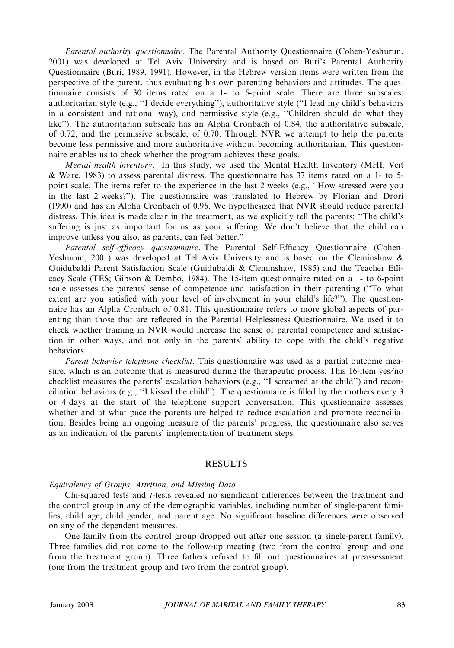Parental authority questionnaire. The Parental Authority Questionnaire (Cohen-Yeshurun, 2001) was developed at Tel Aviv University and is based on Buri's Parental Authority Questionnaire (Buri, 1989, 1991). However, in the Hebrew version items were written from the perspective of the parent, thus evaluating his own parenting behaviors and attitudes. The questionnaire consists of 30 items rated on a 1- to 5-point scale. There are three subscales: authoritarian style (e.g., ''I decide everything''), authoritative style (''I lead my child's behaviors in a consistent and rational way), and permissive style (e.g., ''Children should do what they like''). The authoritarian subscale has an Alpha Cronbach of 0.84, the authoritative subscale, of 0.72, and the permissive subscale, of 0.70. Through NVR we attempt to help the parents become less permissive and more authoritative without becoming authoritarian. This questionnaire enables us to check whether the program achieves these goals.

Mental health inventory. In this study, we used the Mental Health Inventory (MHI; Veit & Ware, 1983) to assess parental distress. The questionnaire has 37 items rated on a 1- to 5 point scale. The items refer to the experience in the last 2 weeks (e.g., ''How stressed were you in the last 2 weeks?''). The questionnaire was translated to Hebrew by Florian and Drori (1990) and has an Alpha Cronbach of 0.96. We hypothesized that NVR should reduce parental distress. This idea is made clear in the treatment, as we explicitly tell the parents: ''The child's suffering is just as important for us as your suffering. We don't believe that the child can improve unless you also, as parents, can feel better.''

Parental self-efficacy questionnaire. The Parental Self-Efficacy Questionnaire (Cohen-Yeshurun, 2001) was developed at Tel Aviv University and is based on the Cleminshaw & Guidubaldi Parent Satisfaction Scale (Guidubaldi & Cleminshaw, 1985) and the Teacher Efficacy Scale (TES; Gibson & Dembo, 1984). The 15-item questionnaire rated on a 1- to 6-point scale assesses the parents' sense of competence and satisfaction in their parenting (''To what extent are you satisfied with your level of involvement in your child's life?''). The questionnaire has an Alpha Cronbach of 0.81. This questionnaire refers to more global aspects of parenting than those that are reflected in the Parental Helplessness Questionnaire. We used it to check whether training in NVR would increase the sense of parental competence and satisfaction in other ways, and not only in the parents' ability to cope with the child's negative behaviors.

Parent behavior telephone checklist. This questionnaire was used as a partial outcome measure, which is an outcome that is measured during the therapeutic process. This 16-item yes/no checklist measures the parents' escalation behaviors (e.g., ''I screamed at the child'') and reconciliation behaviors (e.g., ''I kissed the child''). The questionnaire is filled by the mothers every 3 or 4 days at the start of the telephone support conversation. This questionnaire assesses whether and at what pace the parents are helped to reduce escalation and promote reconciliation. Besides being an ongoing measure of the parents' progress, the questionnaire also serves as an indication of the parents' implementation of treatment steps.

## RESULTS

## Equivalency of Groups, Attrition, and Missing Data

Chi-squared tests and t-tests revealed no significant differences between the treatment and the control group in any of the demographic variables, including number of single-parent families, child age, child gender, and parent age. No significant baseline differences were observed on any of the dependent measures.

One family from the control group dropped out after one session (a single-parent family). Three families did not come to the follow-up meeting (two from the control group and one from the treatment group). Three fathers refused to fill out questionnaires at preassessment (one from the treatment group and two from the control group).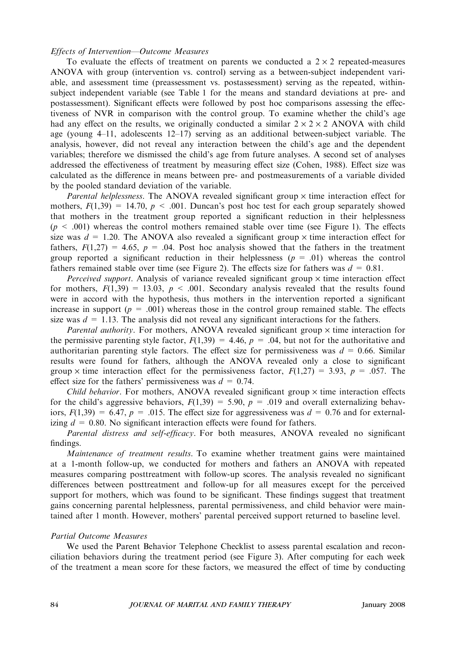#### Effects of Intervention—Outcome Measures

To evaluate the effects of treatment on parents we conducted a  $2 \times 2$  repeated-measures ANOVA with group (intervention vs. control) serving as a between-subject independent variable, and assessment time (preassessment vs. postassessment) serving as the repeated, withinsubject independent variable (see Table 1 for the means and standard deviations at pre- and postassessment). Significant effects were followed by post hoc comparisons assessing the effectiveness of NVR in comparison with the control group. To examine whether the child's age had any effect on the results, we originally conducted a similar  $2 \times 2 \times 2$  ANOVA with child age (young 4–11, adolescents 12–17) serving as an additional between-subject variable. The analysis, however, did not reveal any interaction between the child's age and the dependent variables; therefore we dismissed the child's age from future analyses. A second set of analyses addressed the effectiveness of treatment by measuring effect size (Cohen, 1988). Effect size was calculated as the difference in means between pre- and postmeasurements of a variable divided by the pooled standard deviation of the variable.

*Parental helplessness*. The ANOVA revealed significant group  $\times$  time interaction effect for mothers,  $F(1,39) = 14.70$ ,  $p < .001$ . Duncan's post hoc test for each group separately showed that mothers in the treatment group reported a significant reduction in their helplessness  $(p \le 0.001)$  whereas the control mothers remained stable over time (see Figure 1). The effects size was  $d = 1.20$ . The ANOVA also revealed a significant group  $\times$  time interaction effect for fathers,  $F(1,27) = 4.65$ ,  $p = .04$ . Post hoc analysis showed that the fathers in the treatment group reported a significant reduction in their helplessness ( $p = .01$ ) whereas the control fathers remained stable over time (see Figure 2). The effects size for fathers was  $d = 0.81$ .

*Perceived support.* Analysis of variance revealed significant group  $\times$  time interaction effect for mothers,  $F(1,39) = 13.03$ ,  $p < .001$ . Secondary analysis revealed that the results found were in accord with the hypothesis, thus mothers in the intervention reported a significant increase in support ( $p = .001$ ) whereas those in the control group remained stable. The effects size was  $d = 1.13$ . The analysis did not reveal any significant interactions for the fathers.

*Parental authority.* For mothers, ANOVA revealed significant group  $\times$  time interaction for the permissive parenting style factor,  $F(1,39) = 4.46$ ,  $p = .04$ , but not for the authoritative and authoritarian parenting style factors. The effect size for permissiveness was  $d = 0.66$ . Similar results were found for fathers, although the ANOVA revealed only a close to significant group  $\times$  time interaction effect for the permissiveness factor,  $F(1,27) = 3.93$ ,  $p = .057$ . The effect size for the fathers' permissiveness was  $d = 0.74$ .

Child behavior. For mothers, ANOVA revealed significant group  $\times$  time interaction effects for the child's aggressive behaviors,  $F(1,39) = 5.90$ ,  $p = .019$  and overall externalizing behaviors,  $F(1,39) = 6.47$ ,  $p = .015$ . The effect size for aggressiveness was  $d = 0.76$  and for externalizing  $d = 0.80$ . No significant interaction effects were found for fathers.

# Parental distress and self-efficacy. For both measures, ANOVA revealed no significant findings.

Maintenance of treatment results. To examine whether treatment gains were maintained at a 1-month follow-up, we conducted for mothers and fathers an ANOVA with repeated measures comparing posttreatment with follow-up scores. The analysis revealed no significant differences between posttreatment and follow-up for all measures except for the perceived support for mothers, which was found to be significant. These findings suggest that treatment gains concerning parental helplessness, parental permissiveness, and child behavior were maintained after 1 month. However, mothers' parental perceived support returned to baseline level.

#### Partial Outcome Measures

We used the Parent Behavior Telephone Checklist to assess parental escalation and reconciliation behaviors during the treatment period (see Figure 3). After computing for each week of the treatment a mean score for these factors, we measured the effect of time by conducting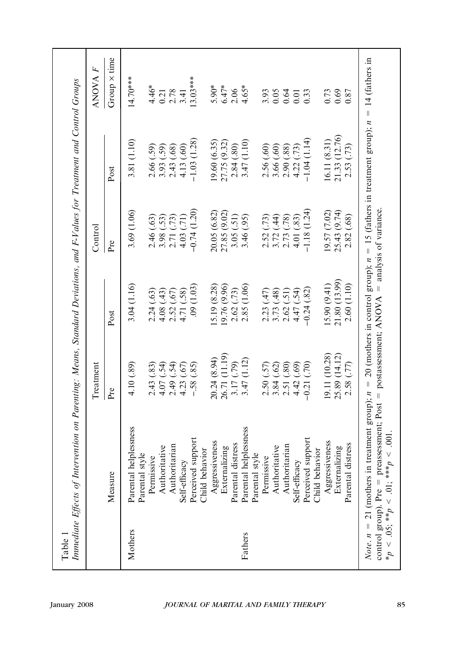| Table   | Immediate Effects of Intervention on Parenting: Means, Standard Deviations, and F-Values for Treatment and Control Groups                                                                                           |                                   |                                              |                                        |                                                                                              |              |
|---------|---------------------------------------------------------------------------------------------------------------------------------------------------------------------------------------------------------------------|-----------------------------------|----------------------------------------------|----------------------------------------|----------------------------------------------------------------------------------------------|--------------|
|         |                                                                                                                                                                                                                     | Treatment                         |                                              | Control                                |                                                                                              | ANOVA F      |
|         | Measure                                                                                                                                                                                                             | Pre                               | Post                                         | Pre                                    | Post                                                                                         | Group × time |
| Mothers | Parental helplessness                                                                                                                                                                                               | 4.10(89)                          | 3.04(1.16)                                   | 3.69 (1.06)                            | 3.81 (1.10)                                                                                  | 14.70***     |
|         | Parental style                                                                                                                                                                                                      |                                   |                                              |                                        |                                                                                              |              |
|         | Permissive                                                                                                                                                                                                          | $\left( \text{33}\right)$<br>2.43 | 2.24(.63)                                    |                                        |                                                                                              | $4.46*$      |
|         | Authoritative                                                                                                                                                                                                       | (54)<br>4.07                      | (43)                                         |                                        |                                                                                              | 0.21         |
|         | Authoritarian                                                                                                                                                                                                       | (.54)<br>2.49                     | (67)<br>$4.08$<br>$2.52$<br>$4.71$<br>$4.71$ | 2.46 (.63)<br>3.98 (.53)<br>2.71 (.73) | $2.66(.59)$<br>$3.93(.59)$<br>$2.43(.68)$                                                    | 2.78         |
|         | Self-efficacy                                                                                                                                                                                                       | (50)<br>4.23                      | (.58)                                        | (71)<br>4.03(                          | (00)<br>4.13(                                                                                | 3.41         |
|         | Perceived support<br>Child behavior                                                                                                                                                                                 | (.85)<br>$-58$                    | (1.03)<br>$\overline{0}$                     | $-0.74(1.20)$                          | $-1.03(1.28)$                                                                                | $3.03***$    |
|         | Aggressiveness                                                                                                                                                                                                      | 20.24 (8.94)                      | 5.19 (8.28)                                  | 20.05 (6.82)                           | (9.60(6.35))                                                                                 | $5.90*$      |
|         | Externalizing                                                                                                                                                                                                       | (11.19)<br>26.71                  | 19.76 (9.96)                                 |                                        | 27.75 (9.32)                                                                                 | $6.47*$      |
|         | Parental distress                                                                                                                                                                                                   | (79)<br>3.17                      | 2.62 (.73)                                   | $27.85(9.02)$<br>$3.05(0.51)$          | (.80)<br>2.84(                                                                               | 2.06         |
| Fathers | Parental helplessness                                                                                                                                                                                               | (1.12)<br>3.47                    | (1.06)<br>2.85                               | 3.46 (.95)                             | 3.47(1.10)                                                                                   | $4.65*$      |
|         | Parental style                                                                                                                                                                                                      |                                   |                                              |                                        |                                                                                              |              |
|         | Permissive                                                                                                                                                                                                          | (57)<br>2.50                      | (47)                                         | (73)                                   | 2.56 (.60)                                                                                   | 3.93         |
|         | Authoritative                                                                                                                                                                                                       | (59)<br>3.84                      | (48)<br>$2.23$ (<br>3.73 (                   | (44)<br>$2.52$ (<br>3.72 (             | (0.6)<br>3.66(                                                                               | 0.05         |
|         | Authoritarian                                                                                                                                                                                                       | (.80)<br>2.51                     | (.51)<br>$2.62$ (<br>4.47 (                  | (78)<br>2.73                           | (.88)<br>2.90(                                                                               | 0.64         |
|         | Self-efficacy                                                                                                                                                                                                       | (0.66)<br>4.42                    | (.54)                                        | 4.01(0.83)                             | 4.22(73)                                                                                     | 0.01         |
|         | Perceived support                                                                                                                                                                                                   | (70)<br>$-0.21$                   | $-0.24(82)$                                  | (1.24)<br>$-1.18$                      | $-1.04(1.14)$                                                                                | 0.33         |
|         | Child behavior                                                                                                                                                                                                      |                                   |                                              |                                        |                                                                                              |              |
|         | Aggressiveness                                                                                                                                                                                                      | 19.11 (10.28)                     | 15.90(9.41)                                  | 19.57 (7.02)                           | 16.11 (8.31)                                                                                 | 0.73         |
|         | σō<br>Externalizin                                                                                                                                                                                                  | 25.89 (14.12)                     | 21.80 (13.99)                                | 25.43 (9.74)                           | 21.33 (12.76)                                                                                | 0.69         |
|         | Parental distress                                                                                                                                                                                                   | (77)<br>2.58                      | 2.60 (1.10)                                  | 2.82 (.68)                             | (73)<br>2.53                                                                                 | 0.87         |
|         | control group). Pre = preassessment; Post = postassessment; $ANOVA =$ analysis of variance.<br><i>Note.</i> $n = 21$ (mothers in treatment group); <i>n</i><br>$\frac{1}{2}$<br>$*_p$ < .05; $*_sp$ < .01; $*_sp$ < |                                   |                                              |                                        | = 20 (mothers in control group); $n = 15$ (fathers in treatment group); $n = 14$ (fathers in |              |
|         |                                                                                                                                                                                                                     |                                   |                                              |                                        |                                                                                              |              |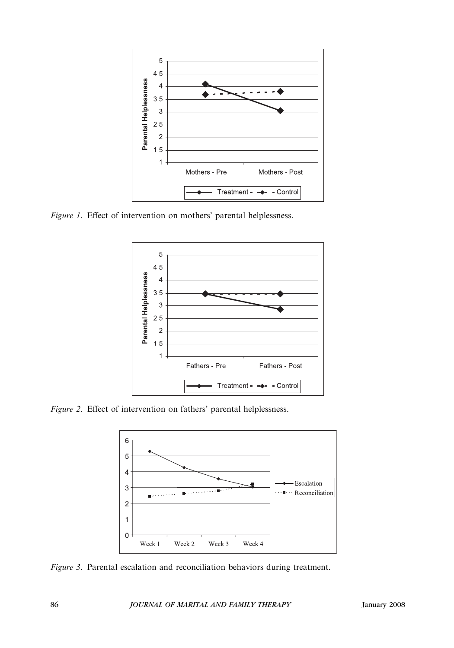

Figure 1. Effect of intervention on mothers' parental helplessness.



Figure 2. Effect of intervention on fathers' parental helplessness.



Figure 3. Parental escalation and reconciliation behaviors during treatment.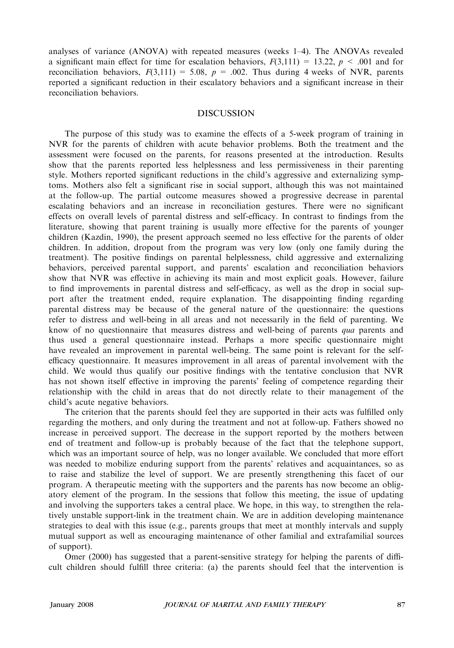analyses of variance (ANOVA) with repeated measures (weeks 1–4). The ANOVAs revealed a significant main effect for time for escalation behaviors,  $F(3,111) = 13.22$ ,  $p < .001$  and for reconciliation behaviors,  $F(3,111) = 5.08$ ,  $p = .002$ . Thus during 4 weeks of NVR, parents reported a significant reduction in their escalatory behaviors and a significant increase in their reconciliation behaviors.

## DISCUSSION

The purpose of this study was to examine the effects of a 5-week program of training in NVR for the parents of children with acute behavior problems. Both the treatment and the assessment were focused on the parents, for reasons presented at the introduction. Results show that the parents reported less helplessness and less permissiveness in their parenting style. Mothers reported significant reductions in the child's aggressive and externalizing symptoms. Mothers also felt a significant rise in social support, although this was not maintained at the follow-up. The partial outcome measures showed a progressive decrease in parental escalating behaviors and an increase in reconciliation gestures. There were no significant effects on overall levels of parental distress and self-efficacy. In contrast to findings from the literature, showing that parent training is usually more effective for the parents of younger children (Kazdin, 1990), the present approach seemed no less effective for the parents of older children. In addition, dropout from the program was very low (only one family during the treatment). The positive findings on parental helplessness, child aggressive and externalizing behaviors, perceived parental support, and parents' escalation and reconciliation behaviors show that NVR was effective in achieving its main and most explicit goals. However, failure to find improvements in parental distress and self-efficacy, as well as the drop in social support after the treatment ended, require explanation. The disappointing finding regarding parental distress may be because of the general nature of the questionnaire: the questions refer to distress and well-being in all areas and not necessarily in the field of parenting. We know of no questionnaire that measures distress and well-being of parents qua parents and thus used a general questionnaire instead. Perhaps a more specific questionnaire might have revealed an improvement in parental well-being. The same point is relevant for the selfefficacy questionnaire. It measures improvement in all areas of parental involvement with the child. We would thus qualify our positive findings with the tentative conclusion that NVR has not shown itself effective in improving the parents' feeling of competence regarding their relationship with the child in areas that do not directly relate to their management of the child's acute negative behaviors.

The criterion that the parents should feel they are supported in their acts was fulfilled only regarding the mothers, and only during the treatment and not at follow-up. Fathers showed no increase in perceived support. The decrease in the support reported by the mothers between end of treatment and follow-up is probably because of the fact that the telephone support, which was an important source of help, was no longer available. We concluded that more effort was needed to mobilize enduring support from the parents' relatives and acquaintances, so as to raise and stabilize the level of support. We are presently strengthening this facet of our program. A therapeutic meeting with the supporters and the parents has now become an obligatory element of the program. In the sessions that follow this meeting, the issue of updating and involving the supporters takes a central place. We hope, in this way, to strengthen the relatively unstable support-link in the treatment chain. We are in addition developing maintenance strategies to deal with this issue (e.g., parents groups that meet at monthly intervals and supply mutual support as well as encouraging maintenance of other familial and extrafamilial sources of support).

Omer (2000) has suggested that a parent-sensitive strategy for helping the parents of difficult children should fulfill three criteria: (a) the parents should feel that the intervention is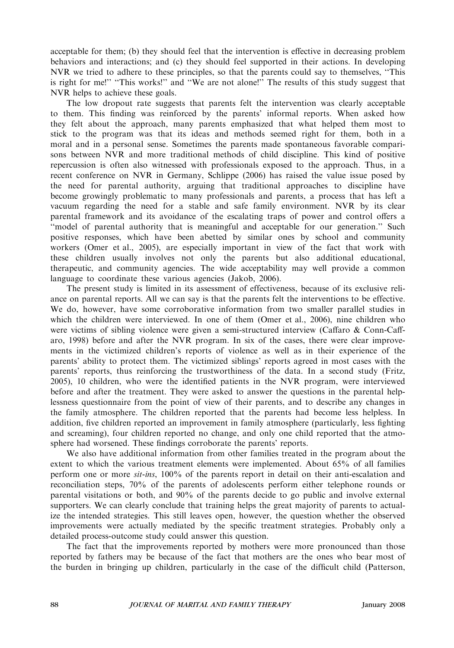acceptable for them; (b) they should feel that the intervention is effective in decreasing problem behaviors and interactions; and (c) they should feel supported in their actions. In developing NVR we tried to adhere to these principles, so that the parents could say to themselves, ''This is right for me!" "This works!" and "We are not alone!" The results of this study suggest that NVR helps to achieve these goals.

The low dropout rate suggests that parents felt the intervention was clearly acceptable to them. This finding was reinforced by the parents' informal reports. When asked how they felt about the approach, many parents emphasized that what helped them most to stick to the program was that its ideas and methods seemed right for them, both in a moral and in a personal sense. Sometimes the parents made spontaneous favorable comparisons between NVR and more traditional methods of child discipline. This kind of positive repercussion is often also witnessed with professionals exposed to the approach. Thus, in a recent conference on NVR in Germany, Schlippe (2006) has raised the value issue posed by the need for parental authority, arguing that traditional approaches to discipline have become growingly problematic to many professionals and parents, a process that has left a vacuum regarding the need for a stable and safe family environment. NVR by its clear parental framework and its avoidance of the escalating traps of power and control offers a ''model of parental authority that is meaningful and acceptable for our generation.'' Such positive responses, which have been abetted by similar ones by school and community workers (Omer et al., 2005), are especially important in view of the fact that work with these children usually involves not only the parents but also additional educational, therapeutic, and community agencies. The wide acceptability may well provide a common language to coordinate these various agencies (Jakob, 2006).

The present study is limited in its assessment of effectiveness, because of its exclusive reliance on parental reports. All we can say is that the parents felt the interventions to be effective. We do, however, have some corroborative information from two smaller parallel studies in which the children were interviewed. In one of them (Omer et al., 2006), nine children who were victims of sibling violence were given a semi-structured interview (Caffaro & Conn-Caffaro, 1998) before and after the NVR program. In six of the cases, there were clear improvements in the victimized children's reports of violence as well as in their experience of the parents' ability to protect them. The victimized siblings' reports agreed in most cases with the parents' reports, thus reinforcing the trustworthiness of the data. In a second study (Fritz, 2005), 10 children, who were the identified patients in the NVR program, were interviewed before and after the treatment. They were asked to answer the questions in the parental helplessness questionnaire from the point of view of their parents, and to describe any changes in the family atmosphere. The children reported that the parents had become less helpless. In addition, five children reported an improvement in family atmosphere (particularly, less fighting and screaming), four children reported no change, and only one child reported that the atmosphere had worsened. These findings corroborate the parents' reports.

We also have additional information from other families treated in the program about the extent to which the various treatment elements were implemented. About 65% of all families perform one or more sit-ins, 100% of the parents report in detail on their anti-escalation and reconciliation steps, 70% of the parents of adolescents perform either telephone rounds or parental visitations or both, and 90% of the parents decide to go public and involve external supporters. We can clearly conclude that training helps the great majority of parents to actualize the intended strategies. This still leaves open, however, the question whether the observed improvements were actually mediated by the specific treatment strategies. Probably only a detailed process-outcome study could answer this question.

The fact that the improvements reported by mothers were more pronounced than those reported by fathers may be because of the fact that mothers are the ones who bear most of the burden in bringing up children, particularly in the case of the difficult child (Patterson,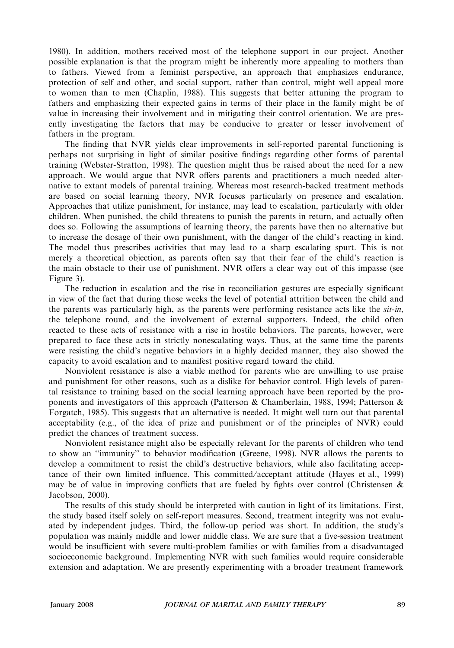1980). In addition, mothers received most of the telephone support in our project. Another possible explanation is that the program might be inherently more appealing to mothers than to fathers. Viewed from a feminist perspective, an approach that emphasizes endurance, protection of self and other, and social support, rather than control, might well appeal more to women than to men (Chaplin, 1988). This suggests that better attuning the program to fathers and emphasizing their expected gains in terms of their place in the family might be of value in increasing their involvement and in mitigating their control orientation. We are presently investigating the factors that may be conducive to greater or lesser involvement of fathers in the program.

The finding that NVR yields clear improvements in self-reported parental functioning is perhaps not surprising in light of similar positive findings regarding other forms of parental training (Webster-Stratton, 1998). The question might thus be raised about the need for a new approach. We would argue that NVR offers parents and practitioners a much needed alternative to extant models of parental training. Whereas most research-backed treatment methods are based on social learning theory, NVR focuses particularly on presence and escalation. Approaches that utilize punishment, for instance, may lead to escalation, particularly with older children. When punished, the child threatens to punish the parents in return, and actually often does so. Following the assumptions of learning theory, the parents have then no alternative but to increase the dosage of their own punishment, with the danger of the child's reacting in kind. The model thus prescribes activities that may lead to a sharp escalating spurt. This is not merely a theoretical objection, as parents often say that their fear of the child's reaction is the main obstacle to their use of punishment. NVR offers a clear way out of this impasse (see Figure 3).

The reduction in escalation and the rise in reconciliation gestures are especially significant in view of the fact that during those weeks the level of potential attrition between the child and the parents was particularly high, as the parents were performing resistance acts like the sit-in, the telephone round, and the involvement of external supporters. Indeed, the child often reacted to these acts of resistance with a rise in hostile behaviors. The parents, however, were prepared to face these acts in strictly nonescalating ways. Thus, at the same time the parents were resisting the child's negative behaviors in a highly decided manner, they also showed the capacity to avoid escalation and to manifest positive regard toward the child.

Nonviolent resistance is also a viable method for parents who are unwilling to use praise and punishment for other reasons, such as a dislike for behavior control. High levels of parental resistance to training based on the social learning approach have been reported by the proponents and investigators of this approach (Patterson & Chamberlain, 1988, 1994; Patterson & Forgatch, 1985). This suggests that an alternative is needed. It might well turn out that parental acceptability (e.g., of the idea of prize and punishment or of the principles of NVR) could predict the chances of treatment success.

Nonviolent resistance might also be especially relevant for the parents of children who tend to show an ''immunity'' to behavior modification (Greene, 1998). NVR allows the parents to develop a commitment to resist the child's destructive behaviors, while also facilitating acceptance of their own limited influence. This committed/acceptant attitude (Hayes et al., 1999) may be of value in improving conflicts that are fueled by fights over control (Christensen  $\&$ Jacobson, 2000).

The results of this study should be interpreted with caution in light of its limitations. First, the study based itself solely on self-report measures. Second, treatment integrity was not evaluated by independent judges. Third, the follow-up period was short. In addition, the study's population was mainly middle and lower middle class. We are sure that a five-session treatment would be insufficient with severe multi-problem families or with families from a disadvantaged socioeconomic background. Implementing NVR with such families would require considerable extension and adaptation. We are presently experimenting with a broader treatment framework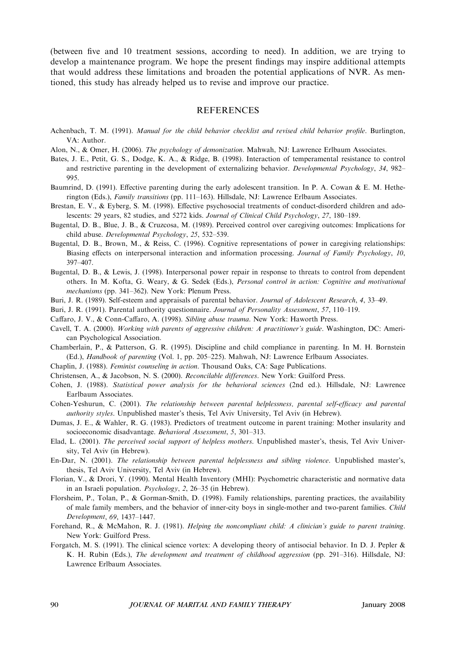(between five and 10 treatment sessions, according to need). In addition, we are trying to develop a maintenance program. We hope the present findings may inspire additional attempts that would address these limitations and broaden the potential applications of NVR. As mentioned, this study has already helped us to revise and improve our practice.

#### **REFERENCES**

- Achenbach, T. M. (1991). Manual for the child behavior checklist and revised child behavior profile. Burlington, VA: Author.
- Alon, N., & Omer, H. (2006). The psychology of demonization. Mahwah, NJ: Lawrence Erlbaum Associates.
- Bates, J. E., Petit, G. S., Dodge, K. A., & Ridge, B. (1998). Interaction of temperamental resistance to control and restrictive parenting in the development of externalizing behavior. Developmental Psychology, 34, 982– 995.
- Baumrind, D. (1991). Effective parenting during the early adolescent transition. In P. A. Cowan & E. M. Hetherington (Eds.), Family transitions (pp. 111–163). Hillsdale, NJ: Lawrence Erlbaum Associates.
- Brestan, E. V., & Eyberg, S. M. (1998). Effective psychosocial treatments of conduct-disorderd children and adolescents: 29 years, 82 studies, and 5272 kids. Journal of Clinical Child Psychology, 27, 180–189.
- Bugental, D. B., Blue, J. B., & Cruzcosa, M. (1989). Perceived control over caregiving outcomes: Implications for child abuse. Developmental Psychology, 25, 532–539.
- Bugental, D. B., Brown, M., & Reiss, C. (1996). Cognitive representations of power in caregiving relationships: Biasing effects on interpersonal interaction and information processing. Journal of Family Psychology, 10, 397–407.
- Bugental, D. B., & Lewis, J. (1998). Interpersonal power repair in response to threats to control from dependent others. In M. Kofta, G. Weary, & G. Sedek (Eds.), Personal control in action: Cognitive and motivational mechanisms (pp. 341–362). New York: Plenum Press.
- Buri, J. R. (1989). Self-esteem and appraisals of parental behavior. Journal of Adolescent Research, 4, 33–49.
- Buri, J. R. (1991). Parental authority questionnaire. Journal of Personality Assessment, 57, 110–119.
- Caffaro, J. V., & Conn-Caffaro, A. (1998). Sibling abuse trauma. New York: Haworth Press.
- Cavell, T. A. (2000). Working with parents of aggressive children: A practitioner's guide. Washington, DC: American Psychological Association.
- Chamberlain, P., & Patterson, G. R. (1995). Discipline and child compliance in parenting. In M. H. Bornstein (Ed.), Handbook of parenting (Vol. 1, pp. 205–225). Mahwah, NJ: Lawrence Erlbaum Associates.
- Chaplin, J. (1988). Feminist counseling in action. Thousand Oaks, CA: Sage Publications.
- Christensen, A., & Jacobson, N. S. (2000). Reconcilable differences. New York: Guilford Press.
- Cohen, J. (1988). Statistical power analysis for the behavioral sciences (2nd ed.). Hillsdale, NJ: Lawrence Earlbaum Associates.
- Cohen-Yeshurun, C. (2001). The relationship between parental helplessness, parental self-efficacy and parental authority styles. Unpublished master's thesis, Tel Aviv University, Tel Aviv (in Hebrew).
- Dumas, J. E., & Wahler, R. G. (1983). Predictors of treatment outcome in parent training: Mother insularity and socioeconomic disadvantage. Behavioral Assessment, 5, 301–313.
- Elad, L. (2001). The perceived social support of helpless mothers. Unpublished master's, thesis, Tel Aviv University, Tel Aviv (in Hebrew).
- En-Dar, N. (2001). The relationship between parental helplessness and sibling violence. Unpublished master's, thesis, Tel Aviv University, Tel Aviv (in Hebrew).
- Florian, V., & Drori, Y. (1990). Mental Health Inventory (MHI): Psychometric characteristic and normative data in an Israeli population. Psychology, 2, 26–35 (in Hebrew).
- Florsheim, P., Tolan, P., & Gorman-Smith, D. (1998). Family relationships, parenting practices, the availability of male family members, and the behavior of inner-city boys in single-mother and two-parent families. *Child* Development, 69, 1437–1447.
- Forehand, R., & McMahon, R. J. (1981). Helping the noncompliant child: A clinician's guide to parent training. New York: Guilford Press.
- Forgatch, M. S. (1991). The clinical science vortex: A developing theory of antisocial behavior. In D. J. Pepler & K. H. Rubin (Eds.), The development and treatment of childhood aggression (pp. 291-316). Hillsdale, NJ: Lawrence Erlbaum Associates.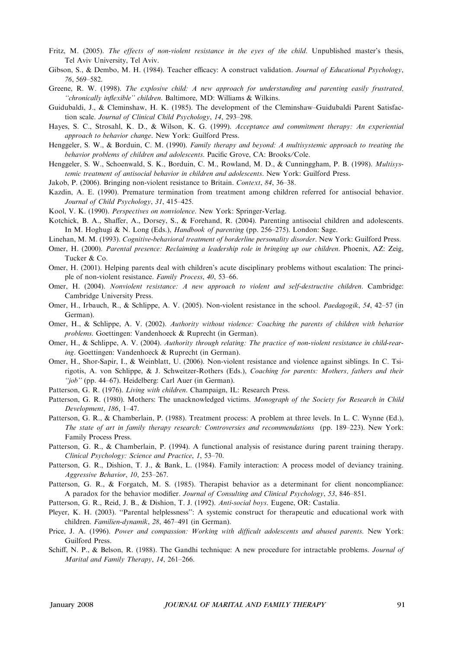- Fritz, M. (2005). The effects of non-violent resistance in the eyes of the child. Unpublished master's thesis, Tel Aviv University, Tel Aviv.
- Gibson, S., & Dembo, M. H. (1984). Teacher efficacy: A construct validation. Journal of Educational Psychology, 76, 569–582.
- Greene, R. W. (1998). The explosive child: A new approach for understanding and parenting easily frustrated, "chronically inflexible" children. Baltimore, MD: Williams & Wilkins.
- Guidubaldi, J., & Cleminshaw, H. K. (1985). The development of the Cleminshaw–Guidubaldi Parent Satisfaction scale. Journal of Clinical Child Psychology, 14, 293–298.
- Hayes, S. C., Strosahl, K. D., & Wilson, K. G. (1999). Acceptance and commitment therapy: An experiential approach to behavior change. New York: Guilford Press.
- Henggeler, S. W., & Borduin, C. M. (1990). Family therapy and beyond: A multisystemic approach to treating the behavior problems of children and adolescents. Pacific Grove, CA: Brooks/Cole.
- Henggeler, S. W., Schoenwald, S. K., Borduin, C. M., Rowland, M. D., & Cunninggham, P. B. (1998). Multisystemic treatment of antisocial behavior in children and adolescents. New York: Guilford Press.
- Jakob, P. (2006). Bringing non-violent resistance to Britain. Context, 84, 36–38.
- Kazdin, A. E. (1990). Premature termination from treatment among children referred for antisocial behavior. Journal of Child Psychology, 31, 415–425.
- Kool, V. K. (1990). Perspectives on nonviolence. New York: Springer-Verlag.
- Kotchick, B. A., Shaffer, A., Dorsey, S., & Forehand, R. (2004). Parenting antisocial children and adolescents. In M. Hoghugi & N. Long (Eds.), *Handbook of parenting* (pp. 256–275). London: Sage.
- Linehan, M. M. (1993). Cognitive-behavioral treatment of borderline personality disorder. New York: Guilford Press.
- Omer, H. (2000). Parental presence: Reclaiming a leadership role in bringing up our children. Phoenix, AZ: Zeig,

Tucker & Co.

Omer, H. (2001). Helping parents deal with children's acute disciplinary problems without escalation: The principle of non-violent resistance. Family Process, 40, 53–66.

- Omer, H. (2004). Nonviolent resistance: A new approach to violent and self-destructive children. Cambridge: Cambridge University Press.
- Omer, H., Irbauch, R., & Schlippe, A. V. (2005). Non-violent resistance in the school. Paedagogik, 54, 42–57 (in German).
- Omer, H., & Schlippe, A. V. (2002). Authority without violence: Coaching the parents of children with behavior problems. Goettingen: Vandenhoeck & Ruprecht (in German).
- Omer, H., & Schlippe, A. V. (2004). Authority through relating: The practice of non-violent resistance in child-rearing. Goettingen: Vandenhoeck & Ruprecht (in German).
- Omer, H., Shor-Sapir, I., & Weinblatt, U. (2006). Non-violent resistance and violence against siblings. In C. Tsirigotis, A. von Schlippe, & J. Schweitzer-Rothers (Eds.), Coaching for parents: Mothers, fathers and their ''job'' (pp. 44–67). Heidelberg: Carl Auer (in German).
- Patterson, G. R. (1976). Living with children. Champaign, IL: Research Press.
- Patterson, G. R. (1980). Mothers: The unacknowledged victims. Monograph of the Society for Research in Child Development, 186, 1–47.
- Patterson, G. R., & Chamberlain, P. (1988). Treatment process: A problem at three levels. In L. C. Wynne (Ed.), The state of art in family therapy research: Controversies and recommendations (pp. 189–223). New York: Family Process Press.
- Patterson, G. R., & Chamberlain, P. (1994). A functional analysis of resistance during parent training therapy. Clinical Psychology: Science and Practice, 1, 53–70.
- Patterson, G. R., Dishion, T. J., & Bank, L. (1984). Family interaction: A process model of deviancy training. Aggressive Behavior, 10, 253–267.
- Patterson, G. R., & Forgatch, M. S. (1985). Therapist behavior as a determinant for client noncompliance: A paradox for the behavior modifier. Journal of Consulting and Clinical Psychology, 53, 846–851.
- Patterson, G. R., Reid, J. B., & Dishion, T. J. (1992). Anti-social boys. Eugene, OR: Castalia.
- Pleyer, K. H. (2003). ''Parental helplessness'': A systemic construct for therapeutic and educational work with children. Familien-dynamik, 28, 467–491 (in German).
- Price, J. A. (1996). Power and compassion: Working with difficult adolescents and abused parents. New York: Guilford Press.
- Schiff, N. P., & Belson, R. (1988). The Gandhi technique: A new procedure for intractable problems. Journal of Marital and Family Therapy, 14, 261–266.